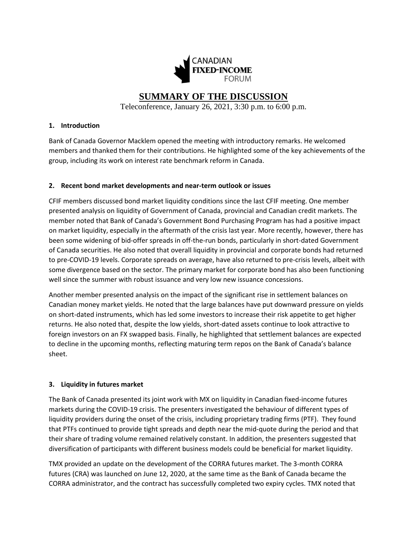

# **SUMMARY OF THE DISCUSSION**

Teleconference, January 26, 2021, 3:30 p.m. to 6:00 p.m.

#### **1. Introduction**

Bank of Canada Governor Macklem opened the meeting with introductory remarks. He welcomed members and thanked them for their contributions. He highlighted some of the key achievements of the group, including its work on interest rate benchmark reform in Canada.

## **2. Recent bond market developments and near-term outlook or issues**

CFIF members discussed bond market liquidity conditions since the last CFIF meeting. One member presented analysis on liquidity of Government of Canada, provincial and Canadian credit markets. The member noted that Bank of Canada's Government Bond Purchasing Program has had a positive impact on market liquidity, especially in the aftermath of the crisis last year. More recently, however, there has been some widening of bid-offer spreads in off-the-run bonds, particularly in short-dated Government of Canada securities. He also noted that overall liquidity in provincial and corporate bonds had returned to pre-COVID-19 levels. Corporate spreads on average, have also returned to pre-crisis levels, albeit with some divergence based on the sector. The primary market for corporate bond has also been functioning well since the summer with robust issuance and very low new issuance concessions.

Another member presented analysis on the impact of the significant rise in settlement balances on Canadian money market yields. He noted that the large balances have put downward pressure on yields on short-dated instruments, which has led some investors to increase their risk appetite to get higher returns. He also noted that, despite the low yields, short-dated assets continue to look attractive to foreign investors on an FX swapped basis. Finally, he highlighted that settlement balances are expected to decline in the upcoming months, reflecting maturing term repos on the Bank of Canada's balance sheet.

## **3. Liquidity in futures market**

The Bank of Canada presented its joint work with MX on liquidity in Canadian fixed-income futures markets during the COVID-19 crisis. The presenters investigated the behaviour of different types of liquidity providers during the onset of the crisis, including proprietary trading firms (PTF). They found that PTFs continued to provide tight spreads and depth near the mid-quote during the period and that their share of trading volume remained relatively constant. In addition, the presenters suggested that diversification of participants with different business models could be beneficial for market liquidity.

TMX provided an update on the development of the CORRA futures market. The 3-month CORRA futures (CRA) was launched on June 12, 2020, at the same time as the Bank of Canada became the CORRA administrator, and the contract has successfully completed two expiry cycles. TMX noted that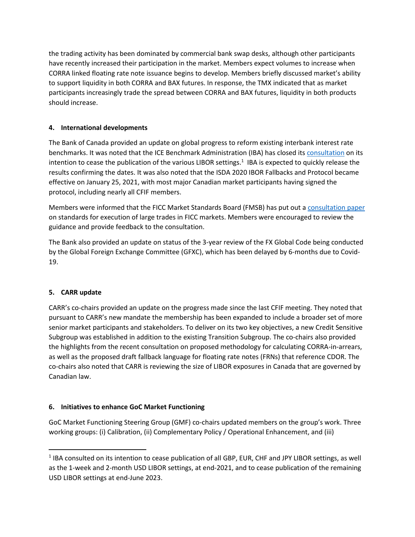the trading activity has been dominated by commercial bank swap desks, although other participants have recently increased their participation in the market. Members expect volumes to increase when CORRA linked floating rate note issuance begins to develop. Members briefly discussed market's ability to support liquidity in both CORRA and BAX futures. In response, the TMX indicated that as market participants increasingly trade the spread between CORRA and BAX futures, liquidity in both products should increase.

# **4. International developments**

The Bank of Canada provided an update on global progress to reform existing interbank interest rate benchmarks. It was noted that the ICE Benchmark Administration (IBA) has closed its [consultation](https://www.theice.com/publicdocs/ICE_LIBOR_Consultation_on_Potential_Cessation.pdf) on its intention to cease the publication of the various LIBOR settings. 1 IBA is expected to quickly release the results confirming the dates. It was also noted that the ISDA 2020 IBOR Fallbacks and Protocol became effective on January 25, 2021, with most major Canadian market participants having signed the protocol, including nearly all CFIF members.

Members were informed that the FICC Market Standards Board (FMSB) has put out a [consultation paper](https://fmsb.com/wp-content/uploads/2020/12/FINAL_FMSB_Large_Trades_Standard_TRANSPARENCY-DRAFT_15.12.20.pdf) on standards for execution of large trades in FICC markets. Members were encouraged to review the guidance and provide feedback to the consultation.

The Bank also provided an update on status of the 3-year review of the FX Global Code being conducted by the Global Foreign Exchange Committee (GFXC), which has been delayed by 6-months due to Covid-19.

# **5. CARR update**

CARR's co-chairs provided an update on the progress made since the last CFIF meeting. They noted that pursuant to CARR's new mandate the membership has been expanded to include a broader set of more senior market participants and stakeholders. To deliver on its two key objectives, a new Credit Sensitive Subgroup was established in addition to the existing Transition Subgroup. The co-chairs also provided the highlights from the recent consultation on proposed methodology for calculating CORRA-in-arrears, as well as the proposed draft fallback language for floating rate notes (FRNs) that reference CDOR. The co-chairs also noted that CARR is reviewing the size of LIBOR exposures in Canada that are governed by Canadian law.

# **6. Initiatives to enhance GoC Market Functioning**

GoC Market Functioning Steering Group (GMF) co-chairs updated members on the group's work. Three working groups: (i) Calibration, (ii) Complementary Policy / Operational Enhancement, and (iii)

<sup>&</sup>lt;sup>1</sup> IBA consulted on its intention to cease publication of all GBP, EUR, CHF and JPY LIBOR settings, as well as the 1-week and 2-month USD LIBOR settings, at end-2021, and to cease publication of the remaining USD LIBOR settings at end-June 2023.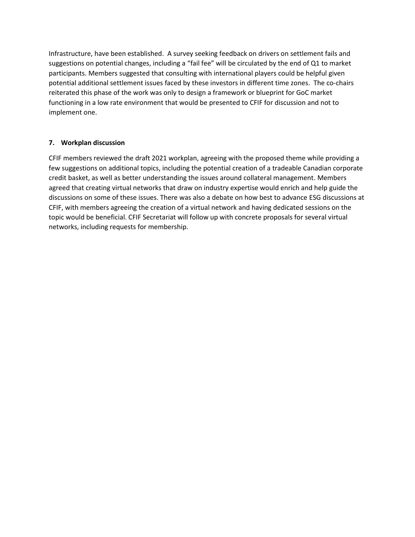Infrastructure, have been established. A survey seeking feedback on drivers on settlement fails and suggestions on potential changes, including a "fail fee" will be circulated by the end of Q1 to market participants. Members suggested that consulting with international players could be helpful given potential additional settlement issues faced by these investors in different time zones. The co-chairs reiterated this phase of the work was only to design a framework or blueprint for GoC market functioning in a low rate environment that would be presented to CFIF for discussion and not to implement one.

# **7. Workplan discussion**

CFIF members reviewed the draft 2021 workplan, agreeing with the proposed theme while providing a few suggestions on additional topics, including the potential creation of a tradeable Canadian corporate credit basket, as well as better understanding the issues around collateral management. Members agreed that creating virtual networks that draw on industry expertise would enrich and help guide the discussions on some of these issues. There was also a debate on how best to advance ESG discussions at CFIF, with members agreeing the creation of a virtual network and having dedicated sessions on the topic would be beneficial. CFIF Secretariat will follow up with concrete proposals for several virtual networks, including requests for membership.